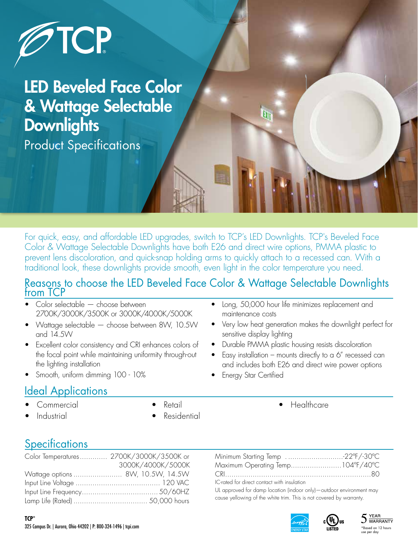

LED Beveled Face Color & Wattage Selectable **Downlights** Product Specifications

For quick, easy, and affordable LED upgrades, switch to TCP's LED Downlights. TCP's Beveled Face Color & Wattage Selectable Downlights have both E26 and direct wire options, PMMA plastic to prevent lens discoloration, and quick-snap holding arms to quickly attach to a recessed can. With a traditional look, these downlights provide smooth, even light in the color temperature you need.

#### Reasons to choose the LED Beveled Face Color & Wattage Selectable Downlights from TCP

- Color selectable choose between 2700K/3000K/3500K or 3000K/4000K/5000K
- Wattage selectable choose between 8W, 10.5W and 14.5W
- Excellent color consistency and CRI enhances colors of the focal point while maintaining uniformity through-out the lighting installation
- Smooth, uniform dimming 100 10%

#### Ideal Applications

- **Commercial**
- Industrial

**TCP®**

- Retail
- **Residential**
- 

## **Specifications**

| Color Temperatures 2700K/3000K/3500K or |                   |
|-----------------------------------------|-------------------|
|                                         | 3000K/4000K/5000K |
|                                         |                   |
|                                         |                   |
|                                         |                   |
|                                         |                   |

Minimum Starting Temp . ..........................-22ºF/-30ºC Maximum Operating Temp........................104ºF/40ºC CRI.....................................................................80 IC-rated for direct contact with insulation

• Long, 50,000 hour life minimizes replacement and

• Durable PMMA plastic housing resists discoloration Easy installation – mounts directly to a  $6''$  recessed can and includes both E26 and direct wire power options

• Very low heat generation makes the downlight perfect for

**Healthcare** 

maintenance costs

sensitive display lighting

**Energy Star Certified** 

UL approved for damp location (indoor only)—outdoor environment may cause yellowing of the white trim. This is not covered by warranty.